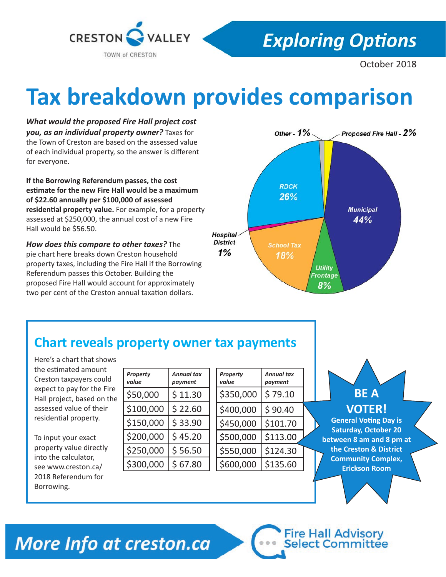

## **Exploring Options**

October 2018

# **Tax breakdown provides comparison**

*What would the proposed Fire Hall project cost you, as an individual property owner?* Taxes for the Town of Creston are based on the assessed value of each individual property, so the answer is different for everyone.

**If the Borrowing Referendum passes, the cost estimate for the new Fire Hall would be a maximum of \$22.60 annually per \$100,000 of assessed residential property value.** For example, for a property assessed at \$250,000, the annual cost of a new Fire Hall would be \$56.50.

*How does this compare to other taxes?* The pie chart here breaks down Creston household property taxes, including the Fire Hall if the Borrowing Referendum passes this October. Building the proposed Fire Hall would account for approximately two per cent of the Creston annual taxation dollars.



## **Chart reveals property owner tax payments**

Here's a chart that shows the estimated amount Creston taxpayers could expect to pay for the Fire Hall project, based on the assessed value of their residential property.

To input your exact property value directly into the calculator, see www.creston.ca/ 2018 Referendum for Borrowing.

| Property<br>value | <b>Annual tax</b><br>payment |  |
|-------------------|------------------------------|--|
| \$50,000          | \$11.30                      |  |
| \$100,000         | \$22.60                      |  |
| \$150,000         | \$33.90                      |  |
| \$200,000         | \$45.20                      |  |
| \$250,000         | \$56.50                      |  |
| \$300,000         | \$67.80                      |  |

| Property<br>value | Annual tax<br>payment |  |
|-------------------|-----------------------|--|
| \$350,000         | \$79.10               |  |
| \$400,000         | \$90.40               |  |
| \$450,000         | \$101.70              |  |
| \$500,000         | \$113.00              |  |
| \$550,000         | \$124.30              |  |
| \$600,000         | \$135.60              |  |

*Property* 



#### **VOTER!**

**General Voting Day is Saturday, October 20 between 8 am and 8 pm at the Creston & District Community Complex, Erickson Room**

**Fire Hall Advisory<br>Select Committee** 

## More Info at creston.ca